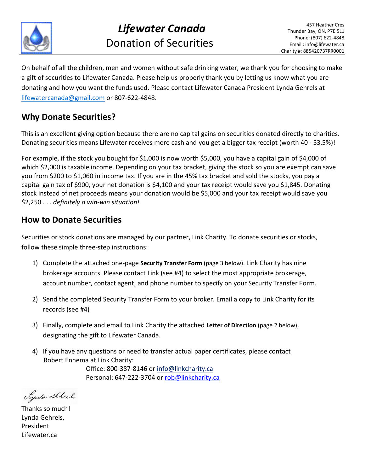

On behalf of all the children, men and women without safe drinking water, we thank you for choosing to make a gift of securities to Lifewater Canada. Please help us properly thank you by letting us know what you are donating and how you want the funds used. Please contact Lifewater Canada President Lynda Gehrels at [lifewatercanada@gmail.com](mailto:lifewatercanada@gmail.com) or 807-622-4848.

# **Why Donate Securities?**

This is an excellent giving option because there are no capital gains on securities donated directly to charities. Donating securities means Lifewater receives more cash and you get a bigger tax receipt (worth 40 ‐ 53.5%)!

For example, if the stock you bought for \$1,000 is now worth \$5,000, you have a capital gain of \$4,000 of which \$2,000 is taxable income. Depending on your tax bracket, giving the stock so you are exempt can save you from \$200 to \$1,060 in income tax. If you are in the 45% tax bracket and sold the stocks, you pay a capital gain tax of \$900, your net donation is \$4,100 and your tax receipt would save you \$1,845. Donating stock instead of net proceeds means your donation would be \$5,000 and your tax receipt would save you \$2,250 . . . *definitely a win‐win situation!*

# **How to Donate Securities**

Securities or stock donations are managed by our partner, Link Charity. To donate securities or stocks, follow these simple three‐step instructions:

- 1) Complete the attached one‐page **Security Transfer Form** (page 3 below). Link Charity has nine brokerage accounts. Please contact Link (see #4) to select the most appropriate brokerage, account number, contact agent, and phone number to specify on your Security Transfer Form.
- 2) Send the completed Security Transfer Form to your broker. Email a copy to Link Charity for its records (see #4)
- 3) Finally, complete and email to Link Charity the attached **Letter of Direction** (page 2 below), designating the gift to Lifewater Canada.
- 4) If you have any questions or need to transfer actual paper certificates, please contact Robert Ennema at Link Charity: Office: 800‐387‐8146 or [info@linkcharity.ca](mailto:info@linkcharity.ca)

Personal: 647-222-3704 or rob@linkcharity.ca

Lynda Schiel

Thanks so much! Lynda Gehrels, President Lifewater.ca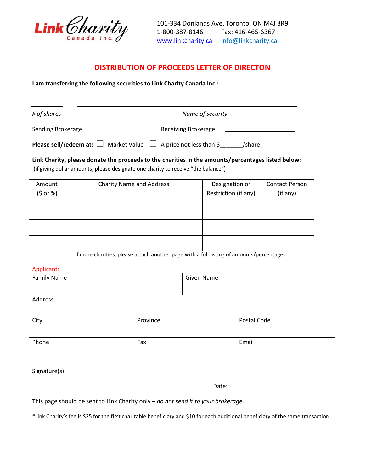

# **DISTRIBUTION OF PROCEEDS LETTER OF DIRECTON**

**I am transferring the following securities to Link Charity Canada Inc.:**

| # of shares        | Name of security                                                                            |
|--------------------|---------------------------------------------------------------------------------------------|
| Sending Brokerage: | Receiving Brokerage:                                                                        |
|                    | <b>Please sell/redeem at:</b> $\Box$ Market Value $\Box$ A price not less than \$<br>/share |

**Link Charity, please donate the proceeds to the charities in the amounts/percentages listed below:**

(if giving dollar amounts, please designate one charity to receive "the balance")

| Amount<br>(5 or %) | <b>Charity Name and Address</b> | Designation or<br>Restriction (if any) | <b>Contact Person</b><br>(if any) |
|--------------------|---------------------------------|----------------------------------------|-----------------------------------|
|                    |                                 |                                        |                                   |
|                    |                                 |                                        |                                   |
|                    |                                 |                                        |                                   |

If more charities, please attach another page with a full listing of amounts/percentages

#### Applicant:

| <b>Family Name</b> |          | Given Name |             |
|--------------------|----------|------------|-------------|
| Address            |          |            |             |
| City               | Province |            | Postal Code |
| Phone              | Fax      |            | Email       |

Signature(s):

\_\_\_\_\_\_\_\_\_\_\_\_\_\_\_\_\_\_\_\_\_\_\_\_\_\_\_\_\_\_\_\_\_\_\_\_\_\_\_\_\_\_\_\_\_\_\_\_\_\_\_\_\_\_ Date: \_\_\_\_\_\_\_\_\_\_\_\_\_\_\_\_\_\_\_\_\_\_\_\_\_

This page should be sent to Link Charity only – *do not send it to your brokerage*.

\*Link Charity's fee is \$25 for the first charitable beneficiary and \$10 for each additional beneficiary of the same transaction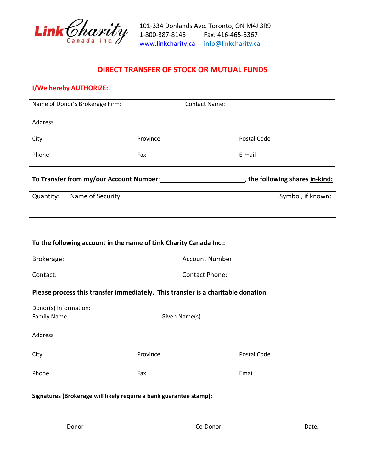

# **DIRECT TRANSFER OF STOCK OR MUTUAL FUNDS**

#### **I/We hereby AUTHORIZE:**

| Name of Donor's Brokerage Firm: |          | <b>Contact Name:</b> |             |
|---------------------------------|----------|----------------------|-------------|
| Address                         |          |                      |             |
| City                            | Province |                      | Postal Code |
| Phone                           | Fax      |                      | E-mail      |

## **To Transfer from my/our Account Number**: , **the following shares in‐kind:**

| Quantity: | Name of Security: | Symbol, if known: |
|-----------|-------------------|-------------------|
|           |                   |                   |
|           |                   |                   |

#### **To the following account in the name of Link Charity Canada Inc.:**

| Brokerage: | <b>Account Number:</b> |  |
|------------|------------------------|--|
|            |                        |  |

#### Contact:

Contact Phone:

## **Please process this transfer immediately. This transfer is a charitable donation.**

| Donor(s) Information: |          |               |             |
|-----------------------|----------|---------------|-------------|
| <b>Family Name</b>    |          | Given Name(s) |             |
|                       |          |               |             |
| Address               |          |               |             |
|                       |          |               |             |
| City                  | Province |               | Postal Code |
|                       |          |               |             |
| Phone                 | Fax      |               | Email       |
|                       |          |               |             |

#### **Signatures (Brokerage will likely require a bank guarantee stamp):**